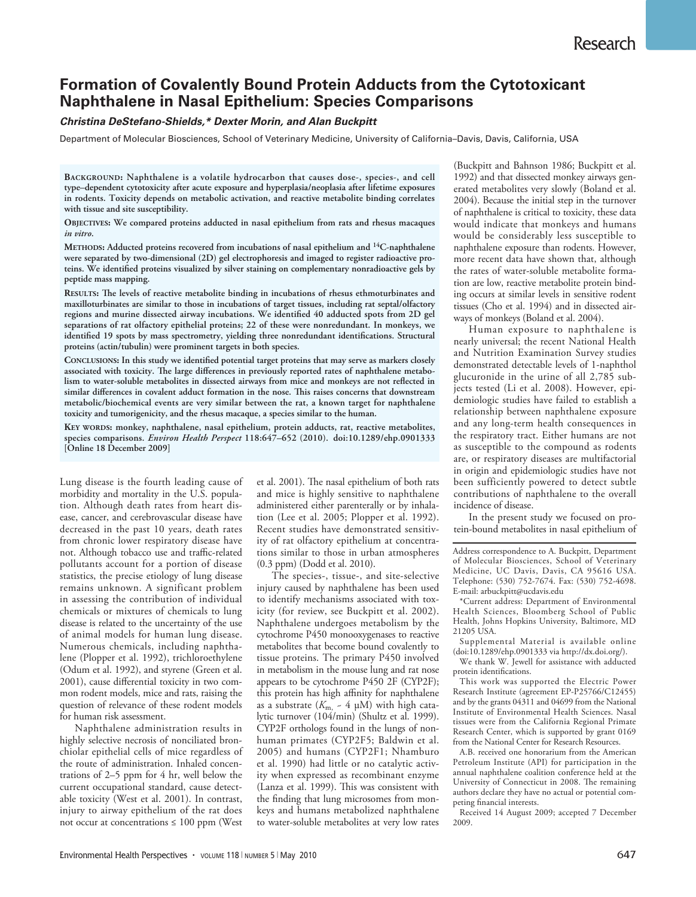# **Formation of Covalently Bound Protein Adducts from the Cytotoxicant Naphthalene in Nasal Epithelium: Species Comparisons**

### *Christina DeStefano-Shields,\* Dexter Morin, and Alan Buckpitt*

Department of Molecular Biosciences, School of Veterinary Medicine, University of California–Davis, Davis, California, USA

**Background: Naphthalene is a volatile hydrocarbon that causes dose-, species-, and cell type–dependent cytotoxicity after acute exposure and hyperplasia/neoplasia after lifetime exposures in rodents. Toxicity depends on metabolic activation, and reactive metabolite binding correlates with tissue and site susceptibility.**

**Objectives: We compared proteins adducted in nasal epithelium from rats and rhesus macaques**  *in vitro***.**

**Methods: Adducted proteins recovered from incubations of nasal epithelium and 14C-naphthalene were separated by two-dimensional (2D) gel electrophoresis and imaged to register radioactive proteins. We identified proteins visualized by silver staining on complementary nonradioactive gels by peptide mass mapping.**

**Results: The levels of reactive metabolite binding in incubations of rhesus ethmoturbinates and maxilloturbinates are similar to those in incubations of target tissues, including rat septal/olfactory regions and murine dissected airway incubations. We identified 40 adducted spots from 2D gel separations of rat olfactory epithelial proteins; 22 of these were nonredundant. In monkeys, we identified 19 spots by mass spectrometry, yielding three nonredundant identifications. Structural proteins (actin/tubulin) were prominent targets in both species.**

**Conclusions: In this study we identified potential target proteins that may serve as markers closely associated with toxicity. The large differences in previously reported rates of naphthalene metabolism to water-soluble metabolites in dissected airways from mice and monkeys are not reflected in similar differences in covalent adduct formation in the nose. This raises concerns that downstream metabolic/biochemical events are very similar between the rat, a known target for naphthalene toxicity and tumorigenicity, and the rhesus macaque, a species similar to the human.**

**Key words: monkey, naphthalene, nasal epithelium, protein adducts, rat, reactive metabolites, species comparisons.** *Environ Health Perspect* **118:647–652 (2010). doi:10.1289/ehp.0901333 [Online 18 December 2009]**

Lung disease is the fourth leading cause of morbidity and mortality in the U.S. population. Although death rates from heart disease, cancer, and cerebrovascular disease have decreased in the past 10 years, death rates from chronic lower respiratory disease have not. Although tobacco use and traffic-related pollutants account for a portion of disease statistics, the precise etiology of lung disease remains unknown. A significant problem in assessing the contribution of individual chemicals or mixtures of chemicals to lung disease is related to the uncertainty of the use of animal models for human lung disease. Numerous chemicals, including naphthalene (Plopper et al. 1992), trichloroethylene (Odum et al. 1992), and styrene (Green et al. 2001), cause differential toxicity in two common rodent models, mice and rats, raising the question of relevance of these rodent models for human risk assessment.

Naphthalene administration results in highly selective necrosis of nonciliated bronchiolar epithelial cells of mice regardless of the route of administration. Inhaled concentrations of 2–5 ppm for 4 hr, well below the current occupational standard, cause detectable toxicity (West et al. 2001). In contrast, injury to airway epithelium of the rat does not occur at concentrations  $\leq 100$  ppm (West et al. 2001). The nasal epithelium of both rats and mice is highly sensitive to naphthalene administered either parenterally or by inhalation (Lee et al. 2005; Plopper et al. 1992). Recent studies have demonstrated sensitivity of rat olfactory epithelium at concentrations similar to those in urban atmospheres (0.3 ppm) (Dodd et al. 2010).

The species-, tissue-, and site-selective injury caused by naphthalene has been used to identify mechanisms associated with toxicity (for review, see Buckpitt et al. 2002). Naphthalene undergoes metabolism by the cytochrome P450 monooxygenases to reactive metabolites that become bound covalently to tissue proteins. The primary P450 involved in metabolism in the mouse lung and rat nose appears to be cytochrome P450 2F (CYP2F); this protein has high affinity for naphthalene as a substrate  $(K_{m, 2} - 4 \mu M)$  with high catalytic turnover (104/min) (Shultz et al. 1999). CYP2F orthologs found in the lungs of nonhuman primates (CYP2F5; Baldwin et al. 2005) and humans (CYP2F1; Nhamburo et al. 1990) had little or no catalytic activity when expressed as recombinant enzyme (Lanza et al. 1999). This was consistent with the finding that lung microsomes from monkeys and humans metabolized naphthalene to water-soluble metabolites at very low rates (Buckpitt and Bahnson 1986; Buckpitt et al. 1992) and that dissected monkey airways generated metabolites very slowly (Boland et al. 2004). Because the initial step in the turnover of naphthalene is critical to toxicity, these data would indicate that monkeys and humans would be considerably less susceptible to naphthalene exposure than rodents. However, more recent data have shown that, although the rates of water-soluble metabolite formation are low, reactive metabolite protein binding occurs at similar levels in sensitive rodent tissues (Cho et al. 1994) and in dissected airways of monkeys (Boland et al. 2004).

Human exposure to naphthalene is nearly universal; the recent National Health and Nutrition Examination Survey studies demonstrated detectable levels of 1-naphthol glucuronide in the urine of all 2,785 subjects tested (Li et al. 2008). However, epidemiologic studies have failed to establish a relationship between naphthalene exposure and any long-term health consequences in the respiratory tract. Either humans are not as susceptible to the compound as rodents are, or respiratory diseases are multifactorial in origin and epidemiologic studies have not been sufficiently powered to detect subtle contributions of naphthalene to the overall incidence of disease.

In the present study we focused on protein-bound metabolites in nasal epithelium of

Address correspondence to A. Buckpitt, Department of Molecular Biosciences, School of Veterinary Medicine, UC Davis, Davis, CA 95616 USA. Telephone: (530) 752-7674. Fax: (530) 752-4698. E-mail: arbuckpitt@ucdavis.edu

\*Current address: Department of Environmental Health Sciences, Bloomberg School of Public Health, Johns Hopkins University, Baltimore, MD 21205 USA.

Supplemental Material is available online (doi:10.1289/ehp.0901333 via http://dx.doi.org/).

We thank W. Jewell for assistance with adducted protein identifications.

This work was supported the Electric Power Research Institute (agreement EP-P25766/C12455) and by the grants 04311 and 04699 from the National Institute of Environmental Health Sciences. Nasal tissues were from the California Regional Primate Research Center, which is supported by grant 0169 from the National Center for Research Resources.

A.B. received one honorarium from the American Petroleum Institute (API) for participation in the annual naphthalene coalition conference held at the University of Connecticut in 2008. The remaining authors declare they have no actual or potential competing financial interests.

Received 14 August 2009; accepted 7 December 2009.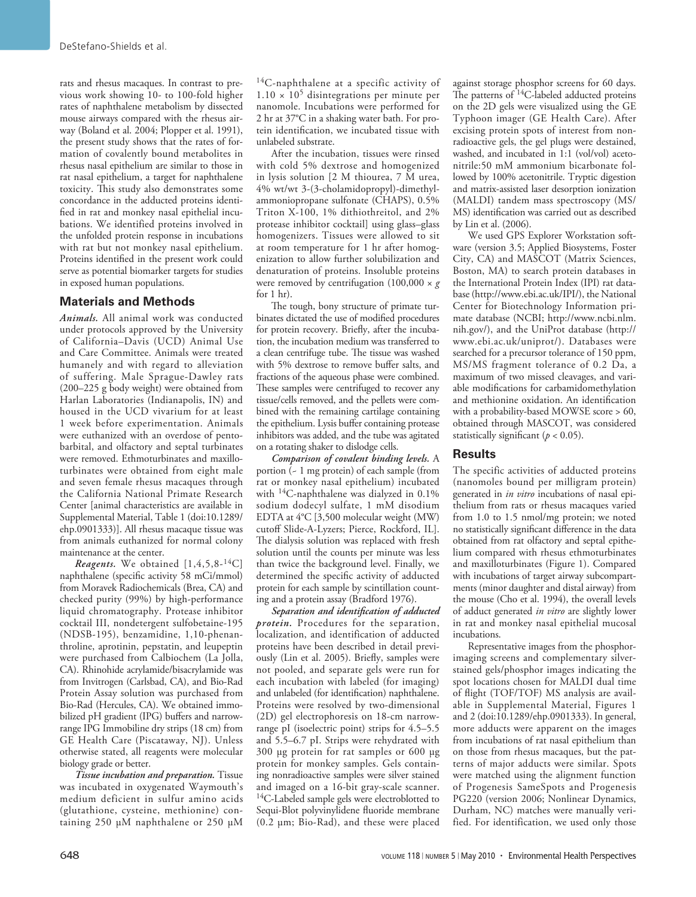rats and rhesus macaques. In contrast to previous work showing 10- to 100-fold higher rates of naphthalene metabolism by dissected mouse airways compared with the rhesus airway (Boland et al. 2004; Plopper et al. 1991), the present study shows that the rates of formation of covalently bound metabolites in rhesus nasal epithelium are similar to those in rat nasal epithelium, a target for naphthalene toxicity. This study also demonstrates some concordance in the adducted proteins identified in rat and monkey nasal epithelial incubations. We identified proteins involved in the unfolded protein response in incubations with rat but not monkey nasal epithelium. Proteins identified in the present work could serve as potential biomarker targets for studies in exposed human populations.

# **Materials and Methods**

*Animals.* All animal work was conducted under protocols approved by the University of California–Davis (UCD) Animal Use and Care Committee. Animals were treated humanely and with regard to alleviation of suffering. Male Sprague-Dawley rats (200–225 g body weight) were obtained from Harlan Laboratories (Indianapolis, IN) and housed in the UCD vivarium for at least 1 week before experimentation. Animals were euthanized with an overdose of pentobarbital, and olfactory and septal turbinates were removed. Ethmoturbinates and maxilloturbinates were obtained from eight male and seven female rhesus macaques through the California National Primate Research Center [animal characteristics are available in Supplemental Material, Table 1 (doi:10.1289/ ehp.0901333)]. All rhesus macaque tissue was from animals euthanized for normal colony maintenance at the center.

*Reagents.* We obtained [1,4,5,8-14C] naphthalene (specific activity 58 mCi/mmol) from Moravek Radiochemicals (Brea, CA) and checked purity (99%) by high-performance liquid chromatography. Protease inhibitor cocktail III, nondetergent sulfobetaine-195 (NDSB-195), benzamidine, 1,10-phenanthroline, aprotinin, pepstatin, and leupeptin were purchased from Calbiochem (La Jolla, CA). Rhinohide acrylamide/bisacrylamide was from Invitrogen (Carlsbad, CA), and Bio-Rad Protein Assay solution was purchased from Bio-Rad (Hercules, CA). We obtained immobilized pH gradient (IPG) buffers and narrowrange IPG Immobiline dry strips (18 cm) from GE Health Care (Piscataway, NJ). Unless otherwise stated, all reagents were molecular biology grade or better.

*Tissue incubation and preparation.* Tissue was incubated in oxygenated Waymouth's medium deficient in sulfur amino acids (glutathione, cysteine, methionine) containing 250 µM naphthalene or 250 µM

 $^{14}$ C-naphthalene at a specific activity of  $1.10 \times 10^5$  disintegrations per minute per nanomole. Incubations were performed for 2 hr at 37°C in a shaking water bath. For protein identification, we incubated tissue with unlabeled substrate.

After the incubation, tissues were rinsed with cold 5% dextrose and homogenized in lysis solution [2 M thiourea, 7 M urea, 4% wt/wt 3-(3-cholamidopropyl)-dimethylammoniopropane sulfonate (CHAPS), 0.5% Triton X-100, 1% dithiothreitol, and 2% protease inhibitor cocktail] using glass–glass homogenizers. Tissues were allowed to sit at room temperature for 1 hr after homogenization to allow further solubilization and denaturation of proteins. Insoluble proteins were removed by centrifugation  $(100,000 \times g)$ for 1 hr).

The tough, bony structure of primate turbinates dictated the use of modified procedures for protein recovery. Briefly, after the incubation, the incubation medium was transferred to a clean centrifuge tube. The tissue was washed with 5% dextrose to remove buffer salts, and fractions of the aqueous phase were combined. These samples were centrifuged to recover any tissue/cells removed, and the pellets were combined with the remaining cartilage containing the epithelium. Lysis buffer containing protease inhibitors was added, and the tube was agitated on a rotating shaker to dislodge cells.

*Comparison of covalent binding levels.* A portion (~ 1 mg protein) of each sample (from rat or monkey nasal epithelium) incubated with 14C-naphthalene was dialyzed in 0.1% sodium dodecyl sulfate, 1 mM disodium EDTA at 4°C [3,500 molecular weight (MW) cutoff Slide-A-Lyzers; Pierce, Rockford, IL]. The dialysis solution was replaced with fresh solution until the counts per minute was less than twice the background level. Finally, we determined the specific activity of adducted protein for each sample by scintillation counting and a protein assay (Bradford 1976).

*Separation and identification of adducted protein.* Procedures for the separation, localization, and identification of adducted proteins have been described in detail previously (Lin et al. 2005). Briefly, samples were not pooled, and separate gels were run for each incubation with labeled (for imaging) and unlabeled (for identification) naphthalene. Proteins were resolved by two-dimensional (2D) gel electrophoresis on 18-cm narrowrange pI (isoelectric point) strips for 4.5–5.5 and 5.5–6.7 pI. Strips were rehydrated with 300 µg protein for rat samples or 600 µg protein for monkey samples. Gels containing nonradioactive samples were silver stained and imaged on a 16-bit gray-scale scanner. <sup>14</sup>C-Labeled sample gels were electroblotted to Sequi-Blot polyvinylidene fluoride membrane (0.2 µm; Bio-Rad), and these were placed

against storage phosphor screens for 60 days. The patterns of <sup>14</sup>C-labeled adducted proteins on the 2D gels were visualized using the GE Typhoon imager (GE Health Care). After excising protein spots of interest from nonradioactive gels, the gel plugs were destained, washed, and incubated in 1:1 (vol/vol) acetonitrile:50 mM ammonium bicarbonate followed by 100% acetonitrile. Tryptic digestion and matrix-assisted laser desorption ionization (MALDI) tandem mass spectroscopy (MS/ MS) identification was carried out as described by Lin et al. (2006).

We used GPS Explorer Workstation software (version 3.5; Applied Biosystems, Foster City, CA) and MASCOT (Matrix Sciences, Boston, MA) to search protein databases in the International Protein Index (IPI) rat database (http://www.ebi.ac.uk/IPI/), the National Center for Biotechnology Information primate database (NCBI; http://www.ncbi.nlm. nih.gov/), and the UniProt database (http:// www.ebi.ac.uk/uniprot/). Databases were searched for a precursor tolerance of 150 ppm, MS/MS fragment tolerance of 0.2 Da, a maximum of two missed cleavages, and variable modifications for carbamidomethylation and methionine oxidation. An identification with a probability-based MOWSE score > 60, obtained through MASCOT, was considered statistically significant  $(p < 0.05)$ .

## **Results**

The specific activities of adducted proteins (nanomoles bound per milligram protein) generated in *in vitro* incubations of nasal epithelium from rats or rhesus macaques varied from 1.0 to 1.5 nmol/mg protein; we noted no statistically significant difference in the data obtained from rat olfactory and septal epithelium compared with rhesus ethmoturbinates and maxilloturbinates (Figure 1). Compared with incubations of target airway subcompartments (minor daughter and distal airway) from the mouse (Cho et al. 1994), the overall levels of adduct generated *in vitro* are slightly lower in rat and monkey nasal epithelial mucosal incubations.

Representative images from the phosphorimaging screens and complementary silverstained gels/phosphor images indicating the spot locations chosen for MALDI dual time of flight (TOF/TOF) MS analysis are available in Supplemental Material, Figures 1 and 2 (doi:10.1289/ehp.0901333). In general, more adducts were apparent on the images from incubations of rat nasal epithelium than on those from rhesus macaques, but the patterns of major adducts were similar. Spots were matched using the alignment function of Progenesis SameSpots and Progenesis PG220 (version 2006; Nonlinear Dynamics, Durham, NC) matches were manually verified. For identification, we used only those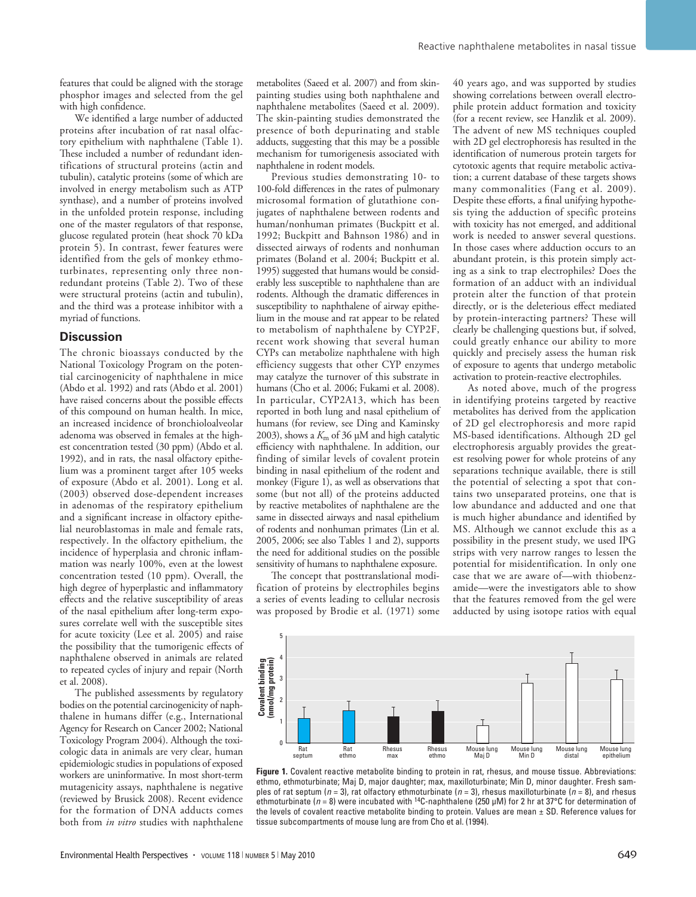features that could be aligned with the storage phosphor images and selected from the gel with high confidence.

We identified a large number of adducted proteins after incubation of rat nasal olfactory epithelium with naphthalene (Table 1). These included a number of redundant identifications of structural proteins (actin and tubulin), catalytic proteins (some of which are involved in energy metabolism such as ATP synthase), and a number of proteins involved in the unfolded protein response, including one of the master regulators of that response, glucose regulated protein (heat shock 70 kDa protein 5). In contrast, fewer features were identified from the gels of monkey ethmoturbinates, representing only three nonredundant proteins (Table 2). Two of these were structural proteins (actin and tubulin), and the third was a protease inhibitor with a myriad of functions.

#### **Discussion**

The chronic bioassays conducted by the National Toxicology Program on the potential carcinogenicity of naphthalene in mice (Abdo et al. 1992) and rats (Abdo et al. 2001) have raised concerns about the possible effects of this compound on human health. In mice, an increased incidence of bronchioloalveolar adenoma was observed in females at the highest concentration tested (30 ppm) (Abdo et al. 1992), and in rats, the nasal olfactory epithelium was a prominent target after 105 weeks of exposure (Abdo et al. 2001). Long et al. (2003) observed dose-dependent increases in adenomas of the respiratory epithelium and a significant increase in olfactory epithelial neuroblastomas in male and female rats, respectively. In the olfactory epithelium, the incidence of hyperplasia and chronic inflammation was nearly 100%, even at the lowest concentration tested (10 ppm). Overall, the high degree of hyperplastic and inflammatory effects and the relative susceptibility of areas of the nasal epithelium after long-term exposures correlate well with the susceptible sites for acute toxicity (Lee et al. 2005) and raise the possibility that the tumorigenic effects of naphthalene observed in animals are related to repeated cycles of injury and repair (North et al. 2008).

The published assessments by regulatory bodies on the potential carcinogenicity of naphthalene in humans differ (e.g., International Agency for Research on Cancer 2002; National Toxicology Program 2004). Although the toxicologic data in animals are very clear, human epidemiologic studies in populations of exposed workers are uninformative. In most short-term mutagenicity assays, naphthalene is negative (reviewed by Brusick 2008). Recent evidence for the formation of DNA adducts comes both from *in vitro* studies with naphthalene

metabolites (Saeed et al. 2007) and from skinpainting studies using both naphthalene and naphthalene metabolites (Saeed et al. 2009). The skin-painting studies demonstrated the presence of both depurinating and stable adducts, suggesting that this may be a possible mechanism for tumorigenesis associated with naphthalene in rodent models.

Previous studies demonstrating 10- to 100-fold differences in the rates of pulmonary microsomal formation of glutathione conjugates of naphthalene between rodents and human/nonhuman primates (Buckpitt et al. 1992; Buckpitt and Bahnson 1986) and in dissected airways of rodents and nonhuman primates (Boland et al. 2004; Buckpitt et al. 1995) suggested that humans would be considerably less susceptible to naphthalene than are rodents. Although the dramatic differences in susceptibility to naphthalene of airway epithelium in the mouse and rat appear to be related to metabolism of naphthalene by CYP2F, recent work showing that several human CYPs can metabolize naphthalene with high efficiency suggests that other CYP enzymes may catalyze the turnover of this substrate in humans (Cho et al. 2006; Fukami et al. 2008). In particular, CYP2A13, which has been reported in both lung and nasal epithelium of humans (for review, see Ding and Kaminsky 2003), shows a *K*m of 36 µM and high catalytic efficiency with naphthalene. In addition, our finding of similar levels of covalent protein binding in nasal epithelium of the rodent and monkey (Figure 1), as well as observations that some (but not all) of the proteins adducted by reactive metabolites of naphthalene are the same in dissected airways and nasal epithelium of rodents and nonhuman primates (Lin et al. 2005, 2006; see also Tables 1 and 2), supports the need for additional studies on the possible sensitivity of humans to naphthalene exposure.

The concept that posttranslational modification of proteins by electrophiles begins a series of events leading to cellular necrosis was proposed by Brodie et al. (1971) some 40 years ago, and was supported by studies showing correlations between overall electrophile protein adduct formation and toxicity (for a recent review, see Hanzlik et al. 2009). The advent of new MS techniques coupled with 2D gel electrophoresis has resulted in the identification of numerous protein targets for cytotoxic agents that require metabolic activation; a current database of these targets shows many commonalities (Fang et al. 2009). Despite these efforts, a final unifying hypothesis tying the adduction of specific proteins with toxicity has not emerged, and additional work is needed to answer several questions. In those cases where adduction occurs to an abundant protein, is this protein simply acting as a sink to trap electrophiles? Does the formation of an adduct with an individual protein alter the function of that protein directly, or is the deleterious effect mediated by protein-interacting partners? These will clearly be challenging questions but, if solved, could greatly enhance our ability to more quickly and precisely assess the human risk of exposure to agents that undergo metabolic activation to protein-reactive electrophiles.

As noted above, much of the progress in identifying proteins targeted by reactive metabolites has derived from the application of 2D gel electrophoresis and more rapid MS-based identifications. Although 2D gel electrophoresis arguably provides the greatest resolving power for whole proteins of any separations technique available, there is still the potential of selecting a spot that contains two unseparated proteins, one that is low abundance and adducted and one that is much higher abundance and identified by MS. Although we cannot exclude this as a possibility in the present study, we used IPG strips with very narrow ranges to lessen the potential for misidentification. In only one case that we are aware of—with thiobenzamide—were the investigators able to show that the features removed from the gel were adducted by using isotope ratios with equal



**Figure 1.** Covalent reactive metabolite binding to protein in rat, rhesus, and mouse tissue. Abbreviations: ethmo, ethmoturbinate; Maj D, major daughter; max, maxilloturbinate; Min D, minor daughter. Fresh samples of rat septum ( $n = 3$ ), rat olfactory ethmoturbinate ( $n = 3$ ), rhesus maxilloturbinate ( $n = 8$ ), and rhesus ethmoturbinate (*n* = 8) were incubated with 14C-naphthalene (250 µM) for 2 hr at 37°C for determination of the levels of covalent reactive metabolite binding to protein. Values are mean ± SD. Reference values for tissue subcompartments of mouse lung are from Cho et al. (1994).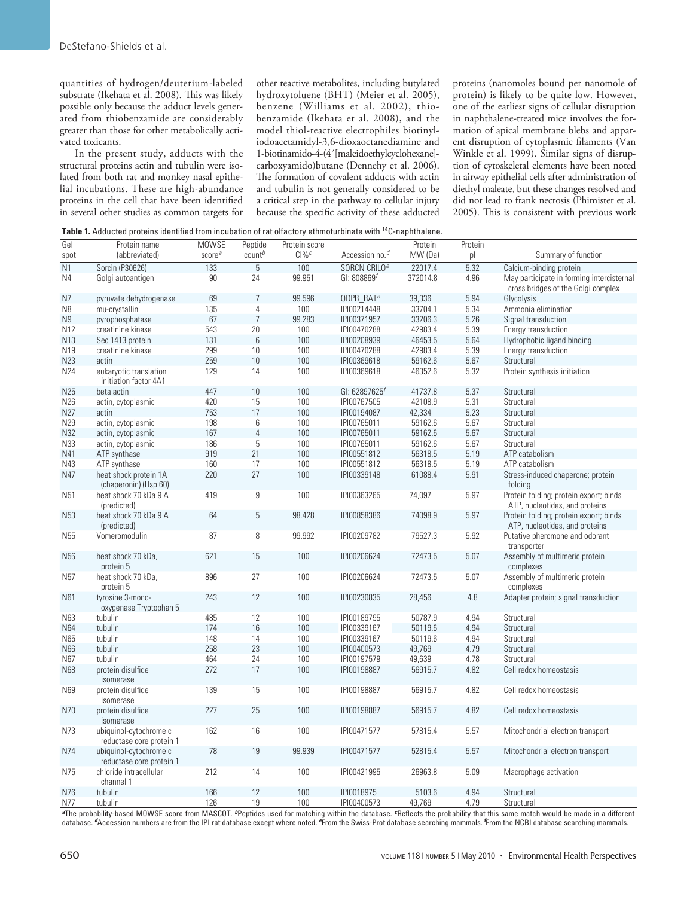quantities of hydrogen/deuterium-labeled substrate (Ikehata et al. 2008). This was likely possible only because the adduct levels generated from thiobenzamide are considerably greater than those for other metabolically activated toxicants.

In the present study, adducts with the structural proteins actin and tubulin were isolated from both rat and monkey nasal epithelial incubations. These are high-abundance proteins in the cell that have been identified in several other studies as common targets for other reactive metabolites, including butylated hydroxytoluene (BHT) (Meier et al. 2005), benzene (Williams et al. 2002), thiobenzamide (Ikehata et al. 2008), and the model thiol-reactive electrophiles biotinyliodoacetamidyl-3,6-dioxaoctanediamine and 1-biotinamido-4-(4´[maleidoethylcyclohexane] carboxyamido)butane (Dennehy et al. 2006). The formation of covalent adducts with actin and tubulin is not generally considered to be a critical step in the pathway to cellular injury because the specific activity of these adducted proteins (nanomoles bound per nanomole of protein) is likely to be quite low. However, one of the earliest signs of cellular disruption in naphthalene-treated mice involves the formation of apical membrane blebs and apparent disruption of cytoplasmic filaments (Van Winkle et al. 1999). Similar signs of disruption of cytoskeletal elements have been noted in airway epithelial cells after administration of diethyl maleate, but these changes resolved and did not lead to frank necrosis (Phimister et al. 2005). This is consistent with previous work

**Table 1.** Adducted proteins identified from incubation of rat olfactory ethmoturbinate with 14C-naphthalene.

| Gel             | Protein name                                       | <b>MOWSE</b>       | Peptide            | Protein score       |                            | Protein          | Protein      |                                                                                 |
|-----------------|----------------------------------------------------|--------------------|--------------------|---------------------|----------------------------|------------------|--------------|---------------------------------------------------------------------------------|
| spot            | (abbreviated)                                      | score <sup>a</sup> | count <sup>b</sup> | $Cl\%$ <sup>c</sup> | Accession no. <sup>d</sup> | MW (Da)          | pl           | Summary of function                                                             |
| $\overline{N1}$ | Sorcin (P30626)                                    | 133                | $\overline{5}$     | 100                 | SORCN CRILO <sup>e</sup>   | 22017.4          | 5.32         | Calcium-binding protein                                                         |
| N4              | Golgi autoantigen                                  | 90                 | 24                 | 99.951              | GI: $808869f$              | 372014.8         | 4.96         | May participate in forming intercisternal<br>cross bridges of the Golgi complex |
| N7              | pyruvate dehydrogenase                             | 69                 | 7                  | 99.596              | ODPB RAT <sup>e</sup>      | 39,336           | 5.94         | Glycolysis                                                                      |
| N <sub>8</sub>  | mu-crystallin                                      | 135                | $\overline{4}$     | 100                 | IPI00214448                | 33704.1          | 5.34         | Ammonia elimination                                                             |
| N9              | pyrophosphatase                                    | 67                 | $\overline{7}$     | 99.283              | IPI00371957                | 33206.3          | 5.26         | Signal transduction                                                             |
| N <sub>12</sub> | creatinine kinase                                  | 543                | 20                 | 100                 | IPI00470288                | 42983.4          | 5.39         | Energy transduction                                                             |
| N <sub>13</sub> | Sec 1413 protein                                   | 131                | $6\phantom{1}6$    | 100                 | IPI00208939                | 46453.5          | 5.64         | Hydrophobic ligand binding                                                      |
| N19             | creatinine kinase                                  | 299                | 10                 | 100                 | IPI00470288                | 42983.4          | 5.39         | Energy transduction                                                             |
| N23             | actin                                              | 259                | 10                 | 100                 | IPI00369618                | 59162.6          | 5.67         | Structural                                                                      |
| N24             | eukaryotic translation<br>initiation factor 4A1    | 129                | 14                 | 100                 | IPI00369618                | 46352.6          | 5.32         | Protein synthesis initiation                                                    |
| <b>N25</b>      | beta actin                                         | 447                | 10                 | 100                 | GI: 62897625               | 41737.8          | 5.37         | Structural                                                                      |
| N26             | actin, cytoplasmic                                 | 420                | 15                 | 100                 | IPI00767505                | 42108.9          | 5.31         | Structural                                                                      |
| N27             | actin                                              | 753                | 17                 | 100                 | IPI00194087                | 42,334           | 5.23         | Structural                                                                      |
| N29             | actin, cytoplasmic                                 | 198                | 6                  | 100                 | IPI00765011                | 59162.6          | 5.67         | Structural                                                                      |
| N32             | actin, cytoplasmic                                 | 167                | $\overline{4}$     | 100                 | IPI00765011                | 59162.6          | 5.67         | Structural                                                                      |
| N33             | actin, cytoplasmic                                 | 186                | 5                  | 100                 | IPI00765011                | 59162.6          | 5.67         | Structural                                                                      |
| N41             | ATP synthase                                       | 919                | 21                 | 100                 | IPI00551812                | 56318.5          | 5.19         | ATP catabolism                                                                  |
| N43             | ATP synthase                                       | 160                | 17                 | 100                 | IPI00551812                | 56318.5          | 5.19         | ATP catabolism                                                                  |
| N47             | heat shock protein 1A<br>(chaperonin) (Hsp 60)     | 220                | 27                 | 100                 | IPI00339148                | 61088.4          | 5.91         | Stress-induced chaperone; protein<br>folding                                    |
| N <sub>51</sub> | heat shock 70 kDa 9 A<br>(predicted)               | 419                | 9                  | 100                 | IPI00363265                | 74,097           | 5.97         | Protein folding; protein export; binds<br>ATP, nucleotides, and proteins        |
| N <sub>53</sub> | heat shock 70 kDa 9 A<br>(predicted)               | 64                 | 5                  | 98.428              | IPI00858386                | 74098.9          | 5.97         | Protein folding; protein export; binds<br>ATP, nucleotides, and proteins        |
| N <sub>55</sub> | Vomeromodulin                                      | 87                 | 8                  | 99.992              | IPI00209782                | 79527.3          | 5.92         | Putative pheromone and odorant<br>transporter                                   |
| N <sub>56</sub> | heat shock 70 kDa,<br>protein 5                    | 621                | 15                 | 100                 | IPI00206624                | 72473.5          | 5.07         | Assembly of multimeric protein<br>complexes                                     |
| N <sub>57</sub> | heat shock 70 kDa,<br>protein 5                    | 896                | 27                 | 100                 | IPI00206624                | 72473.5          | 5.07         | Assembly of multimeric protein<br>complexes                                     |
| N61             | tyrosine 3-mono-<br>oxygenase Tryptophan 5         | 243                | 12                 | 100                 | IPI00230835                | 28,456           | 4.8          | Adapter protein; signal transduction                                            |
| N63             | tubulin                                            | 485                | 12                 | 100                 | IPI00189795                | 50787.9          | 4.94         | Structural                                                                      |
| N64             | tubulin                                            | 174                | 16                 | 100                 | IPI00339167                | 50119.6          | 4.94         | Structural                                                                      |
| N65             | tubulin                                            | 148                | 14                 | 100                 | IPI00339167                | 50119.6          | 4.94         | Structural                                                                      |
| N66             | tubulin                                            | 258                | 23                 | 100                 | IPI00400573                | 49,769           | 4.79         | Structural                                                                      |
| N67             | tubulin                                            | 464                | 24                 | 100                 | IPI00197579                | 49,639           | 4.78         | Structural                                                                      |
| N68             | protein disulfide<br>isomerase                     | 272                | 17                 | 100                 | IPI00198887                | 56915.7          | 4.82         | Cell redox homeostasis                                                          |
| N69             | protein disulfide<br>isomerase                     | 139                | 15                 | 100                 | IPI00198887                | 56915.7          | 4.82         | Cell redox homeostasis                                                          |
| N70             | protein disulfide<br>isomerase                     | 227                | 25                 | 100                 | IPI00198887                | 56915.7          | 4.82         | Cell redox homeostasis                                                          |
| N73             | ubiquinol-cytochrome c<br>reductase core protein 1 | 162                | 16                 | 100                 | IPI00471577                | 57815.4          | 5.57         | Mitochondrial electron transport                                                |
| N74             | ubiquinol-cytochrome c<br>reductase core protein 1 | 78                 | 19                 | 99.939              | IPI00471577                | 52815.4          | 5.57         | Mitochondrial electron transport                                                |
| N75             | chloride intracellular<br>channel 1                | 212                | 14                 | 100                 | IPI00421995                | 26963.8          | 5.09         | Macrophage activation                                                           |
| N76<br>N77      | tubulin<br>tubulin                                 | 166<br>126         | 12<br>19           | 100<br>100          | IPI0018975<br>IPI00400573  | 5103.6<br>49,769 | 4.94<br>4.79 | Structural<br>Structural                                                        |

*<sup>a</sup>*The probability-based MOWSE score from MASCOT. *<sup>b</sup>*Peptides used for matching within the database. *c*Reflects the probability that this same match would be made in a different database. *<sup>d</sup>*Accession numbers are from the IPI rat database except where noted. *e*From the Swiss-Prot database searching mammals. *<sup>f</sup>* From the NCBI database searching mammals.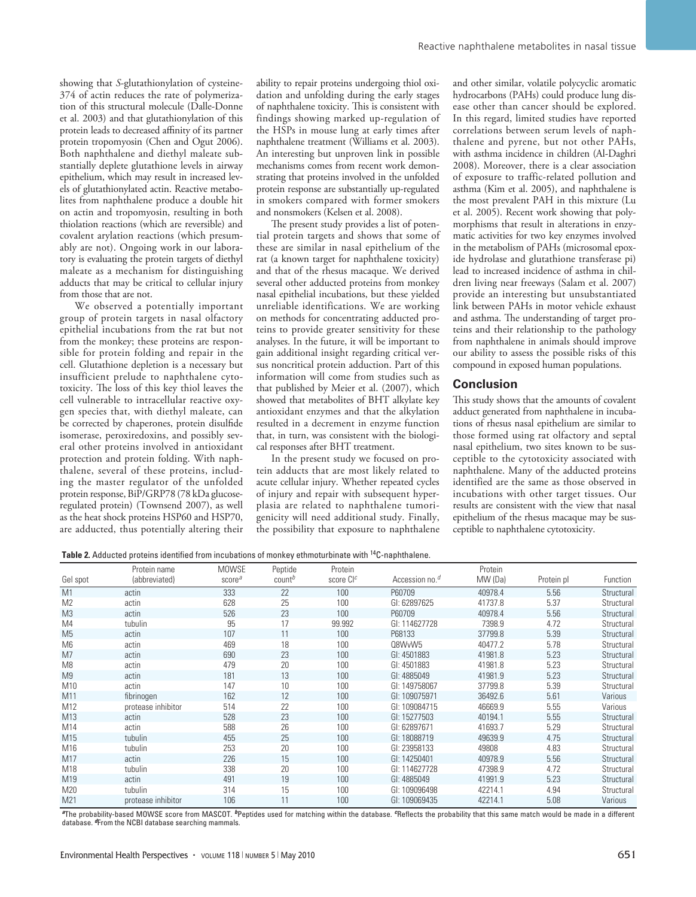showing that *S*-glutathionylation of cysteine-374 of actin reduces the rate of polymerization of this structural molecule (Dalle-Donne et al. 2003) and that glutathionylation of this protein leads to decreased affinity of its partner protein tropomyosin (Chen and Ogut 2006). Both naphthalene and diethyl maleate substantially deplete glutathione levels in airway epithelium, which may result in increased levels of glutathionylated actin. Reactive metabolites from naphthalene produce a double hit on actin and tropomyosin, resulting in both thiolation reactions (which are reversible) and covalent arylation reactions (which presumably are not). Ongoing work in our laboratory is evaluating the protein targets of diethyl maleate as a mechanism for distinguishing adducts that may be critical to cellular injury from those that are not.

We observed a potentially important group of protein targets in nasal olfactory epithelial incubations from the rat but not from the monkey; these proteins are responsible for protein folding and repair in the cell. Glutathione depletion is a necessary but insufficient prelude to naphthalene cytotoxicity. The loss of this key thiol leaves the cell vulnerable to intracellular reactive oxygen species that, with diethyl maleate, can be corrected by chaperones, protein disulfide isomerase, peroxiredoxins, and possibly several other proteins involved in antioxidant protection and protein folding. With naphthalene, several of these proteins, including the master regulator of the unfolded protein response, BiP/GRP78 (78 kDa glucoseregulated protein) (Townsend 2007), as well as the heat shock proteins HSP60 and HSP70, are adducted, thus potentially altering their

ability to repair proteins undergoing thiol oxidation and unfolding during the early stages of naphthalene toxicity. This is consistent with findings showing marked up-regulation of the HSPs in mouse lung at early times after naphthalene treatment (Williams et al. 2003). An interesting but unproven link in possible mechanisms comes from recent work demonstrating that proteins involved in the unfolded protein response are substantially up-regulated in smokers compared with former smokers and nonsmokers (Kelsen et al. 2008).

The present study provides a list of potential protein targets and shows that some of these are similar in nasal epithelium of the rat (a known target for naphthalene toxicity) and that of the rhesus macaque. We derived several other adducted proteins from monkey nasal epithelial incubations, but these yielded unreliable identifications. We are working on methods for concentrating adducted proteins to provide greater sensitivity for these analyses. In the future, it will be important to gain additional insight regarding critical versus noncritical protein adduction. Part of this information will come from studies such as that published by Meier et al. (2007), which showed that metabolites of BHT alkylate key antioxidant enzymes and that the alkylation resulted in a decrement in enzyme function that, in turn, was consistent with the biological responses after BHT treatment.

In the present study we focused on protein adducts that are most likely related to acute cellular injury. Whether repeated cycles of injury and repair with subsequent hyperplasia are related to naphthalene tumorigenicity will need additional study. Finally, the possibility that exposure to naphthalene and other similar, volatile polycyclic aromatic hydrocarbons (PAHs) could produce lung disease other than cancer should be explored. In this regard, limited studies have reported correlations between serum levels of naphthalene and pyrene, but not other PAHs, with asthma incidence in children (Al-Daghri 2008). Moreover, there is a clear association of exposure to traffic-related pollution and asthma (Kim et al. 2005), and naphthalene is the most prevalent PAH in this mixture (Lu et al. 2005). Recent work showing that polymorphisms that result in alterations in enzymatic activities for two key enzymes involved in the metabolism of PAHs (microsomal epoxide hydrolase and glutathione transferase pi) lead to increased incidence of asthma in children living near freeways (Salam et al. 2007) provide an interesting but unsubstantiated link between PAHs in motor vehicle exhaust and asthma. The understanding of target proteins and their relationship to the pathology from naphthalene in animals should improve our ability to assess the possible risks of this compound in exposed human populations.

## **Conclusion**

This study shows that the amounts of covalent adduct generated from naphthalene in incubations of rhesus nasal epithelium are similar to those formed using rat olfactory and septal nasal epithelium, two sites known to be susceptible to the cytotoxicity associated with naphthalene. Many of the adducted proteins identified are the same as those observed in incubations with other target tissues. Our results are consistent with the view that nasal epithelium of the rhesus macaque may be susceptible to naphthalene cytotoxicity.

**Table 2.** Adducted proteins identified from incubations of monkey ethmoturbinate with 14C-naphthalene.

|                | Protein name       | <b>MOWSE</b>       | Peptide            | Protein               |                            | Protein |            |            |
|----------------|--------------------|--------------------|--------------------|-----------------------|----------------------------|---------|------------|------------|
| Gel spot       | (abbreviated)      | score <sup>a</sup> | count <sup>b</sup> | score CI <sup>c</sup> | Accession no. <sup>d</sup> | MW (Da) | Protein pl | Function   |
| M1             | actin              | 333                | 22                 | 100                   | P60709                     | 40978.4 | 5.56       | Structural |
| M <sub>2</sub> | actin              | 628                | 25                 | 100                   | GI: 62897625               | 41737.8 | 5.37       | Structural |
| M <sub>3</sub> | actin              | 526                | 23                 | 100                   | P60709                     | 40978.4 | 5.56       | Structural |
| M4             | tubulin            | 95                 | 17                 | 99.992                | GI: 114627728              | 7398.9  | 4.72       | Structural |
| M <sub>5</sub> | actin              | 107                | 11                 | 100                   | P68133                     | 37799.8 | 5.39       | Structural |
| M <sub>6</sub> | actin              | 469                | 18                 | 100                   | Q8WvW5                     | 40477.2 | 5.78       | Structural |
| M <sub>7</sub> | actin              | 690                | 23                 | 100                   | GI: 4501883                | 41981.8 | 5.23       | Structural |
| M <sub>8</sub> | actin              | 479                | 20                 | 100                   | GI: 4501883                | 41981.8 | 5.23       | Structural |
| M <sub>9</sub> | actin              | 181                | 13                 | 100                   | GI: 4885049                | 41981.9 | 5.23       | Structural |
| M10            | actin              | 147                | 10                 | 100                   | GI: 149758067              | 37799.8 | 5.39       | Structural |
| M11            | fibrinogen         | 162                | 12                 | 100                   | GI: 109075971              | 36492.6 | 5.61       | Various    |
| M12            | protease inhibitor | 514                | 22                 | 100                   | GI: 109084715              | 46669.9 | 5.55       | Various    |
| M13            | actin              | 528                | 23                 | 100                   | GI: 15277503               | 40194.1 | 5.55       | Structural |
| M14            | actin              | 588                | 26                 | 100                   | GI: 62897671               | 41693.7 | 5.29       | Structural |
| M15            | tubulin            | 455                | 25                 | 100                   | GI: 18088719               | 49639.9 | 4.75       | Structural |
| M16            | tubulin            | 253                | 20                 | 100                   | GI: 23958133               | 49808   | 4.83       | Structural |
| M17            | actin              | 226                | 15                 | 100                   | GI: 14250401               | 40978.9 | 5.56       | Structural |
| M18            | tubulin            | 338                | 20                 | 100                   | GI: 114627728              | 47398.9 | 4.72       | Structural |
| M19            | actin              | 491                | 19                 | 100                   | GI: 4885049                | 41991.9 | 5.23       | Structural |
| M20            | tubulin            | 314                | 15                 | 100                   | GI: 109096498              | 42214.1 | 4.94       | Structural |
| M21            | protease inhibitor | 106                | 11                 | 100                   | GI: 109069435              | 42214.1 | 5.08       | Various    |

*<sup>a</sup>*The probability-based MOWSE score from MASCOT. *b*Peptides used for matching within the database. *c*Reflects the probability that this same match would be made in a different database. *<sup>d</sup>*From the NCBI database searching mammals.